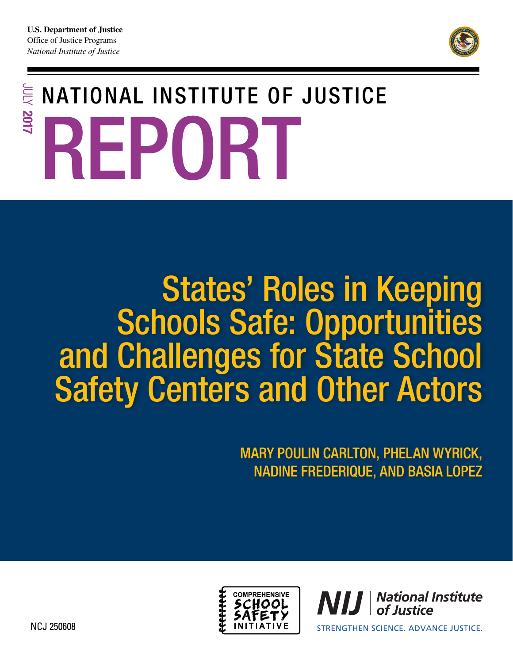

# **NLY** 2017 NATIONAL INSTITUTE OF JUSTICE REPORT

# States' Roles in Keeping Schools Safe: Opportunities and Challenges for State School Safety Centers and Other Actors

MARY POULIN CARLTON, PHELAN WYRICK, NADINE FREDERIQUE, AND BASIA LOPEZ



**NIJ** Mational Institute

STRENGTHEN SCIENCE, ADVANCE JUSTICE.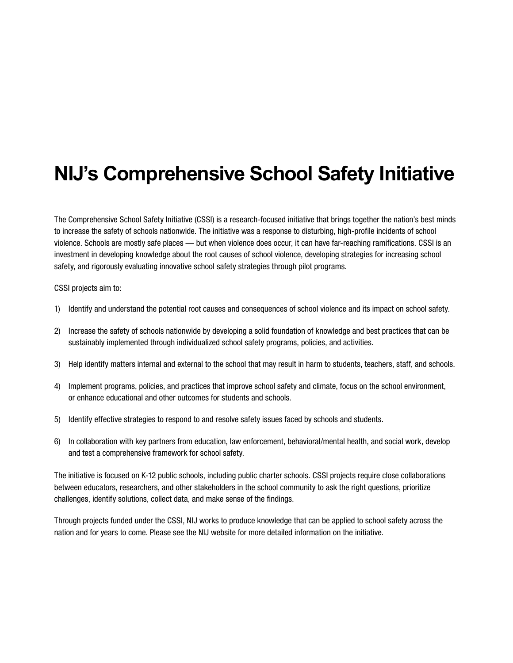# **NIJ's Comprehensive School Safety Initiative**

The Comprehensive School Safety Initiative (CSSI) is a research-focused initiative that brings together the nation's best minds to increase the safety of schools nationwide. The initiative was a response to disturbing, high-profile incidents of school violence. Schools are mostly safe places — but when violence does occur, it can have far-reaching ramifications. CSSI is an investment in developing knowledge about the root causes of school violence, developing strategies for increasing school safety, and rigorously evaluating innovative school safety strategies through pilot programs.

CSSI projects aim to:

- 1) Identify and understand the potential root causes and consequences of school violence and its impact on school safety.
- 2) Increase the safety of schools nationwide by developing a solid foundation of knowledge and best practices that can be sustainably implemented through individualized school safety programs, policies, and activities.
- 3) Help identify matters internal and external to the school that may result in harm to students, teachers, staff, and schools.
- 4) Implement programs, policies, and practices that improve school safety and climate, focus on the school environment, or enhance educational and other outcomes for students and schools.
- 5) Identify effective strategies to respond to and resolve safety issues faced by schools and students.
- 6) In collaboration with key partners from education, law enforcement, behavioral/mental health, and social work, develop and test a comprehensive framework for school safety.

The initiative is focused on K-12 public schools, including public charter schools. CSSI projects require close collaborations between educators, researchers, and other stakeholders in the school community to ask the right questions, prioritize challenges, identify solutions, collect data, and make sense of the findings.

Through projects funded under the CSSI, NIJ works to produce knowledge that can be applied to school safety across the nation and for years to come. Please see the [NIJ website](https://nij.gov/topics/crime/school-crime/Pages/school-safety-initiative.aspx) for more detailed information on the initiative.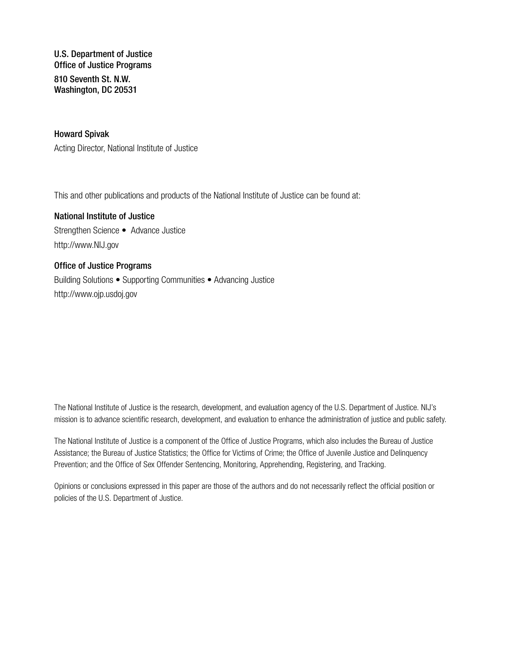U.S. Department of Justice Office of Justice Programs 810 Seventh St. N.W.

Washington, DC 20531

#### Howard Spivak

Acting Director, National Institute of Justice

This and other publications and products of the National Institute of Justice can be found at:

National Institute of Justice Strengthen Science • Advance Justice [http://www.NIJ.gov](http://www.nij.gov) 

#### Office of Justice Programs

Building Solutions • Supporting Communities • Advancing Justice <http://www.ojp.usdoj.gov>

The National Institute of Justice is the research, development, and evaluation agency of the U.S. Department of Justice. NIJ's mission is to advance scientific research, development, and evaluation to enhance the administration of justice and public safety.

The National Institute of Justice is a component of the Office of Justice Programs, which also includes the Bureau of Justice Assistance; the Bureau of Justice Statistics; the Office for Victims of Crime; the Office of Juvenile Justice and Delinquency Prevention; and the Office of Sex Offender Sentencing, Monitoring, Apprehending, Registering, and Tracking.

Opinions or conclusions expressed in this paper are those of the authors and do not necessarily reflect the official position or policies of the U.S. Department of Justice.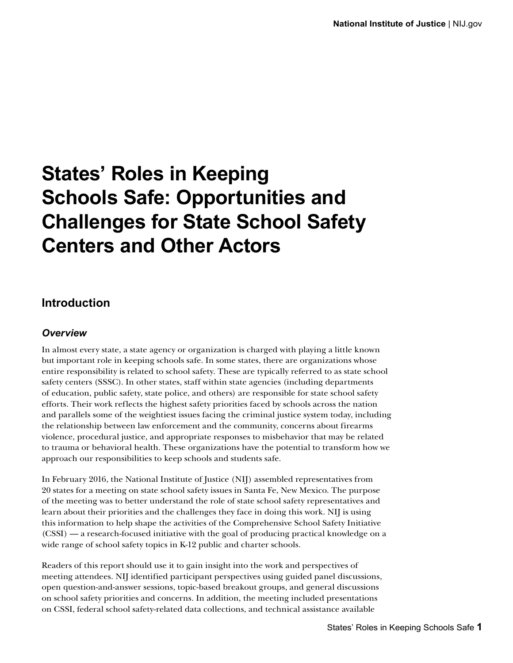# **States' Roles in Keeping Schools Safe: Opportunities and Challenges for State School Safety Centers and Other Actors**

### **Introduction**

#### *Overview*

In almost every state, a state agency or organization is charged with playing a little known but important role in keeping schools safe. In some states, there are organizations whose entire responsibility is related to school safety. These are typically referred to as state school safety centers (SSSC). In other states, staff within state agencies (including departments of education, public safety, state police, and others) are responsible for state school safety efforts. Their work reflects the highest safety priorities faced by schools across the nation and parallels some of the weightiest issues facing the criminal justice system today, including the relationship between law enforcement and the community, concerns about firearms violence, procedural justice, and appropriate responses to misbehavior that may be related to trauma or behavioral health. These organizations have the potential to transform how we approach our responsibilities to keep schools and students safe.

In February 2016, the National Institute of Justice (NIJ) assembled representatives from 20 states for a meeting on state school safety issues in Santa Fe, New Mexico. The purpose of the meeting was to better understand the role of state school safety representatives and learn about their priorities and the challenges they face in doing this work. NIJ is using this information to help shape the activities of the Comprehensive School Safety Initiative (CSSI) — a research-focused initiative with the goal of producing practical knowledge on a wide range of school safety topics in K-12 public and charter schools.

Readers of this report should use it to gain insight into the work and perspectives of meeting attendees. NIJ identified participant perspectives using guided panel discussions, open question-and-answer sessions, topic-based breakout groups, and general discussions on school safety priorities and concerns. In addition, the meeting included presentations on CSSI, federal school safety-related data collections, and technical assistance available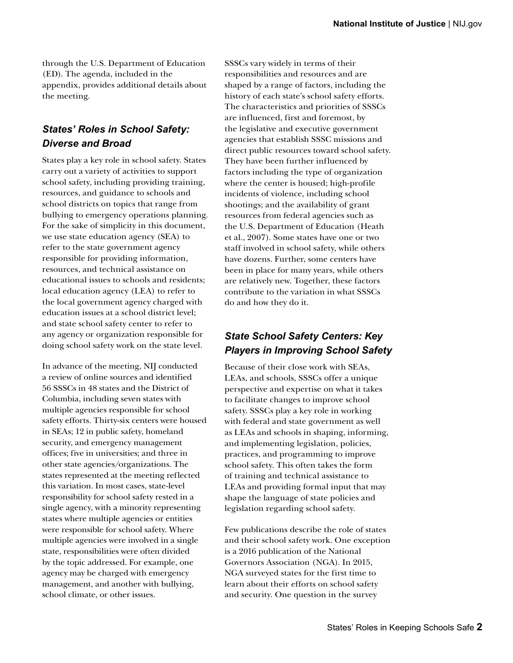through the U.S. Department of Education (ED). The agenda, included in the appendix, provides additional details about the meeting.

#### *States' Roles in School Safety: Diverse and Broad*

States play a key role in school safety. States carry out a variety of activities to support school safety, including providing training, resources, and guidance to schools and school districts on topics that range from bullying to emergency operations planning. For the sake of simplicity in this document, we use state education agency (SEA) to refer to the state government agency responsible for providing information, resources, and technical assistance on educational issues to schools and residents; local education agency (LEA) to refer to the local government agency charged with education issues at a school district level; and state school safety center to refer to any agency or organization responsible for doing school safety work on the state level.

In advance of the meeting, NIJ conducted a review of online sources and identified 56 SSSCs in 48 states and the District of Columbia, including seven states with multiple agencies responsible for school safety efforts. Thirty-six centers were housed in SEAs; 12 in public safety, homeland security, and emergency management offices; five in universities; and three in other state agencies/organizations. The states represented at the meeting reflected this variation. In most cases, state-level responsibility for school safety rested in a single agency, with a minority representing states where multiple agencies or entities were responsible for school safety. Where multiple agencies were involved in a single state, responsibilities were often divided by the topic addressed. For example, one agency may be charged with emergency management, and another with bullying, school climate, or other issues.

SSSCs vary widely in terms of their responsibilities and resources and are shaped by a range of factors, including the history of each state's school safety efforts. The characteristics and priorities of SSSCs are influenced, first and foremost, by the legislative and executive government agencies that establish SSSC missions and direct public resources toward school safety. They have been further influenced by factors including the type of organization where the center is housed; high-profile incidents of violence, including school shootings; and the availability of grant resources from federal agencies such as the U.S. Department of Education (Heath et al., 2007). Some states have one or two staff involved in school safety, while others have dozens. Further, some centers have been in place for many years, while others are relatively new. Together, these factors contribute to the variation in what SSSCs do and how they do it.

### *State School Safety Centers: Key Players in Improving School Safety*

Because of their close work with SEAs, LEAs, and schools, SSSCs offer a unique perspective and expertise on what it takes to facilitate changes to improve school safety. SSSCs play a key role in working with federal and state government as well as LEAs and schools in shaping, informing, and implementing legislation, policies, practices, and programming to improve school safety. This often takes the form of training and technical assistance to LEAs and providing formal input that may shape the language of state policies and legislation regarding school safety.

Few publications describe the role of states and their school safety work. One exception is a 2016 publication of the National Governors Association (NGA). In 2015, NGA surveyed states for the first time to learn about their efforts on school safety and security. One question in the survey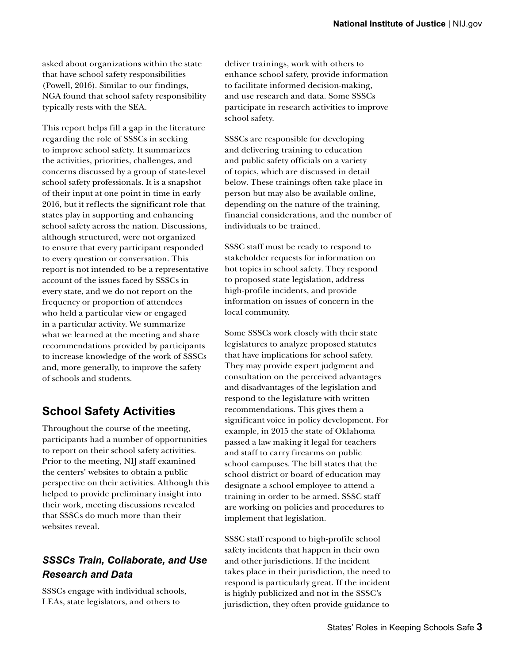asked about organizations within the state that have school safety responsibilities (Powell, 2016). Similar to our findings, NGA found that school safety responsibility typically rests with the SEA.

This report helps fill a gap in the literature regarding the role of SSSCs in seeking to improve school safety. It summarizes the activities, priorities, challenges, and concerns discussed by a group of state-level school safety professionals. It is a snapshot of their input at one point in time in early 2016, but it reflects the significant role that states play in supporting and enhancing school safety across the nation. Discussions, although structured, were not organized to ensure that every participant responded to every question or conversation. This report is not intended to be a representative account of the issues faced by SSSCs in every state, and we do not report on the frequency or proportion of attendees who held a particular view or engaged in a particular activity. We summarize what we learned at the meeting and share recommendations provided by participants to increase knowledge of the work of SSSCs and, more generally, to improve the safety of schools and students.

# **School Safety Activities**

Throughout the course of the meeting, participants had a number of opportunities to report on their school safety activities. Prior to the meeting, NIJ staff examined the centers' websites to obtain a public perspective on their activities. Although this helped to provide preliminary insight into their work, meeting discussions revealed that SSSCs do much more than their websites reveal.

## *SSSCs Train, Collaborate, and Use Research and Data*

SSSCs engage with individual schools, LEAs, state legislators, and others to

deliver trainings, work with others to enhance school safety, provide information to facilitate informed decision-making, and use research and data. Some SSSCs participate in research activities to improve school safety.

SSSCs are responsible for developing and delivering training to education and public safety officials on a variety of topics, which are discussed in detail below. These trainings often take place in person but may also be available online, depending on the nature of the training, financial considerations, and the number of individuals to be trained.

SSSC staff must be ready to respond to stakeholder requests for information on hot topics in school safety. They respond to proposed state legislation, address high-profile incidents, and provide information on issues of concern in the local community.

Some SSSCs work closely with their state legislatures to analyze proposed statutes that have implications for school safety. They may provide expert judgment and consultation on the perceived advantages and disadvantages of the legislation and respond to the legislature with written recommendations. This gives them a significant voice in policy development. For example, in 2015 the state of Oklahoma passed a law making it legal for teachers and staff to carry firearms on public school campuses. The bill states that the school district or board of education may designate a school employee to attend a training in order to be armed. SSSC staff are working on policies and procedures to implement that legislation.

SSSC staff respond to high-profile school safety incidents that happen in their own and other jurisdictions. If the incident takes place in their jurisdiction, the need to respond is particularly great. If the incident is highly publicized and not in the SSSC's jurisdiction, they often provide guidance to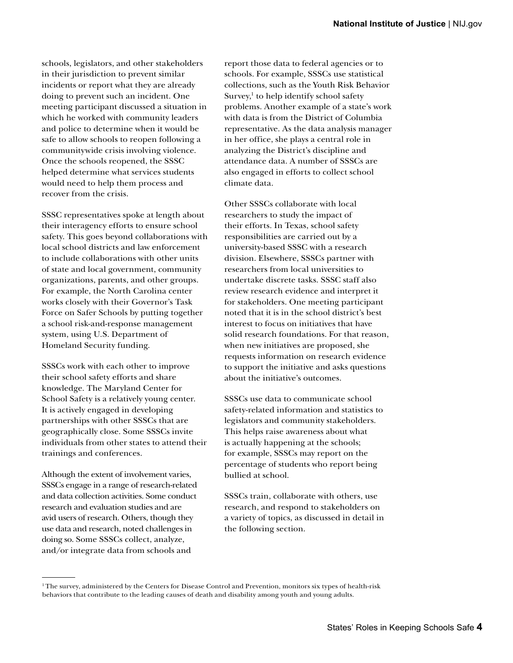schools, legislators, and other stakeholders in their jurisdiction to prevent similar incidents or report what they are already doing to prevent such an incident. One meeting participant discussed a situation in which he worked with community leaders and police to determine when it would be safe to allow schools to reopen following a communitywide crisis involving violence. Once the schools reopened, the SSSC helped determine what services students would need to help them process and recover from the crisis.

SSSC representatives spoke at length about their interagency efforts to ensure school safety. This goes beyond collaborations with local school districts and law enforcement to include collaborations with other units of state and local government, community organizations, parents, and other groups. For example, the North Carolina center works closely with their Governor's Task Force on Safer Schools by putting together a school risk-and-response management system, using U.S. Department of Homeland Security funding.

SSSCs work with each other to improve their school safety efforts and share knowledge. The Maryland Center for School Safety is a relatively young center. It is actively engaged in developing partnerships with other SSSCs that are geographically close. Some SSSCs invite individuals from other states to attend their trainings and conferences.

Although the extent of involvement varies, SSSCs engage in a range of research-related and data collection activities. Some conduct research and evaluation studies and are avid users of research. Others, though they use data and research, noted challenges in doing so. Some SSSCs collect, analyze, and/or integrate data from schools and

report those data to federal agencies or to schools. For example, SSSCs use statistical collections, such as the Youth Risk Behavior Survey,<sup>1</sup> to help identify school safety problems. Another example of a state's work with data is from the District of Columbia representative. As the data analysis manager in her office, she plays a central role in analyzing the District's discipline and attendance data. A number of SSSCs are also engaged in efforts to collect school climate data.

Other SSSCs collaborate with local researchers to study the impact of their efforts. In Texas, school safety responsibilities are carried out by a university-based SSSC with a research division. Elsewhere, SSSCs partner with researchers from local universities to undertake discrete tasks. SSSC staff also review research evidence and interpret it for stakeholders. One meeting participant noted that it is in the school district's best interest to focus on initiatives that have solid research foundations. For that reason, when new initiatives are proposed, she requests information on research evidence to support the initiative and asks questions about the initiative's outcomes.

SSSCs use data to communicate school safety-related information and statistics to legislators and community stakeholders. This helps raise awareness about what is actually happening at the schools; for example, SSSCs may report on the percentage of students who report being bullied at school.

SSSCs train, collaborate with others, use research, and respond to stakeholders on a variety of topics, as discussed in detail in the following section.

<sup>1</sup> The survey, administered by the Centers for Disease Control and Prevention, monitors six types of health-risk behaviors that contribute to the leading causes of death and disability among youth and young adults.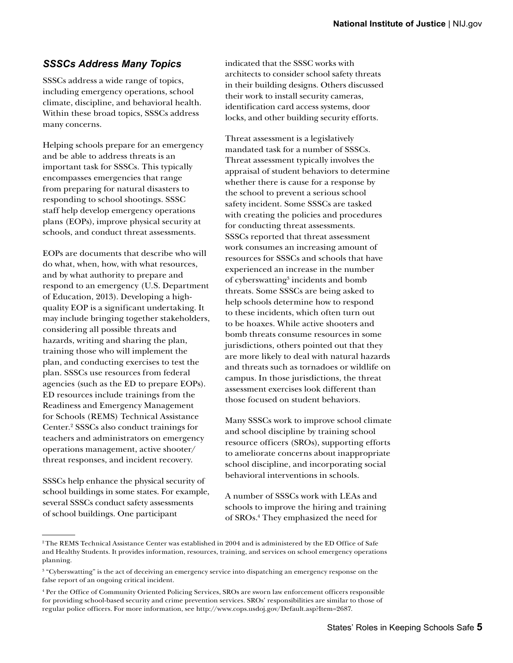#### *SSSCs Address Many Topics*

SSSCs address a wide range of topics, including emergency operations, school climate, discipline, and behavioral health. Within these broad topics, SSSCs address many concerns.

Helping schools prepare for an emergency and be able to address threats is an important task for SSSCs. This typically encompasses emergencies that range from preparing for natural disasters to responding to school shootings. SSSC staff help develop emergency operations plans (EOPs), improve physical security at schools, and conduct threat assessments.

EOPs are documents that describe who will do what, when, how, with what resources, and by what authority to prepare and respond to an emergency (U.S. Department of Education, 2013). Developing a highquality EOP is a significant undertaking. It may include bringing together stakeholders, considering all possible threats and hazards, writing and sharing the plan, training those who will implement the plan, and conducting exercises to test the plan. SSSCs use resources from federal agencies (such as the ED to prepare EOPs). ED resources include trainings from the Readiness and Emergency Management for Schools (REMS) Technical Assistance Center.<sup>2</sup> SSSCs also conduct trainings for teachers and administrators on emergency operations management, active shooter/ threat responses, and incident recovery.

SSSCs help enhance the physical security of school buildings in some states. For example, several SSSCs conduct safety assessments of school buildings. One participant

indicated that the SSSC works with architects to consider school safety threats in their building designs. Others discussed their work to install security cameras, identification card access systems, door locks, and other building security efforts.

Threat assessment is a legislatively mandated task for a number of SSSCs. Threat assessment typically involves the appraisal of student behaviors to determine whether there is cause for a response by the school to prevent a serious school safety incident. Some SSSCs are tasked with creating the policies and procedures for conducting threat assessments. SSSCs reported that threat assessment work consumes an increasing amount of resources for SSSCs and schools that have experienced an increase in the number of cyberswatting<sup>3</sup> incidents and bomb threats. Some SSSCs are being asked to help schools determine how to respond to these incidents, which often turn out to be hoaxes. While active shooters and bomb threats consume resources in some jurisdictions, others pointed out that they are more likely to deal with natural hazards and threats such as tornadoes or wildlife on campus. In those jurisdictions, the threat assessment exercises look different than those focused on student behaviors.

Many SSSCs work to improve school climate and school discipline by training school resource officers (SROs), supporting efforts to ameliorate concerns about inappropriate school discipline, and incorporating social behavioral interventions in schools.

A number of SSSCs work with LEAs and schools to improve the hiring and training of SROs.4 They emphasized the need for

<sup>2</sup> The REMS Technical Assistance Center was established in 2004 and is administered by the ED Office of Safe and Healthy Students. It provides information, resources, training, and services on school emergency operations planning.

<sup>&</sup>lt;sup>3</sup> "Cyberswatting" is the act of deceiving an emergency service into dispatching an emergency response on the false report of an ongoing critical incident.

<sup>4</sup> Per the Office of Community Oriented Policing Services, SROs are sworn law enforcement officers responsible for providing school-based security and crime prevention services. SROs' responsibilities are similar to those of regular police officers. For more information, see [http://www.cops.usdoj.gov/Default.asp?Item=2687.](http://www.cops.usdoj.gov/Default.asp?Item=2687)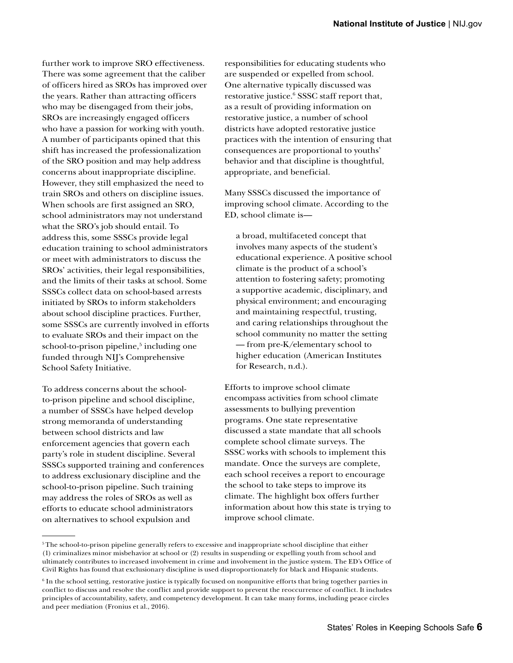further work to improve SRO effectiveness. There was some agreement that the caliber of officers hired as SROs has improved over the years. Rather than attracting officers who may be disengaged from their jobs, SROs are increasingly engaged officers who have a passion for working with youth. A number of participants opined that this shift has increased the professionalization of the SRO position and may help address concerns about inappropriate discipline. However, they still emphasized the need to train SROs and others on discipline issues. When schools are first assigned an SRO, school administrators may not understand what the SRO's job should entail. To address this, some SSSCs provide legal education training to school administrators or meet with administrators to discuss the SROs' activities, their legal responsibilities, and the limits of their tasks at school. Some SSSCs collect data on school-based arrests initiated by SROs to inform stakeholders about school discipline practices. Further, some SSSCs are currently involved in efforts to evaluate SROs and their impact on the school-to-prison pipeline,<sup>5</sup> including one funded through NIJ's Comprehensive School Safety Initiative.

To address concerns about the schoolto-prison pipeline and school discipline, a number of SSSCs have helped develop strong memoranda of understanding between school districts and law enforcement agencies that govern each party's role in student discipline. Several SSSCs supported training and conferences to address exclusionary discipline and the school-to-prison pipeline. Such training may address the roles of SROs as well as efforts to educate school administrators on alternatives to school expulsion and

responsibilities for educating students who are suspended or expelled from school. One alternative typically discussed was restorative justice.<sup>6</sup> SSSC staff report that, as a result of providing information on restorative justice, a number of school districts have adopted restorative justice practices with the intention of ensuring that consequences are proportional to youths' behavior and that discipline is thoughtful, appropriate, and beneficial.

Many SSSCs discussed the importance of improving school climate. According to the ED, school climate is—

a broad, multifaceted concept that involves many aspects of the student's educational experience. A positive school climate is the product of a school's attention to fostering safety; promoting a supportive academic, disciplinary, and physical environment; and encouraging and maintaining respectful, trusting, and caring relationships throughout the school community no matter the setting — from pre-K/elementary school to higher education (American Institutes for Research, n.d.).

Efforts to improve school climate encompass activities from school climate assessments to bullying prevention programs. One state representative discussed a state mandate that all schools complete school climate surveys. The SSSC works with schools to implement this mandate. Once the surveys are complete, each school receives a report to encourage the school to take steps to improve its climate. The highlight box offers further information about how this state is trying to improve school climate.

<sup>5</sup> The school-to-prison pipeline generally refers to excessive and inappropriate school discipline that either (1) criminalizes minor misbehavior at school or (2) results in suspending or expelling youth from school and ultimately contributes to increased involvement in crime and involvement in the justice system. The ED's Office of Civil Rights has found that exclusionary discipline is used disproportionately for black and Hispanic students.

<sup>&</sup>lt;sup>6</sup> In the school setting, restorative justice is typically focused on nonpunitive efforts that bring together parties in conflict to discuss and resolve the conflict and provide support to prevent the reoccurrence of conflict. It includes principles of accountability, safety, and competency development. It can take many forms, including peace circles and peer mediation (Fronius et al., 2016).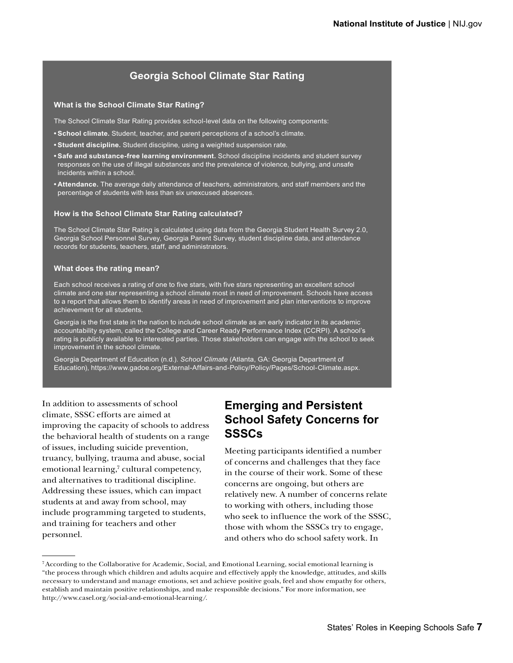#### **Georgia School Climate Star Rating**

#### **What is the School Climate Star Rating?**

The School Climate Star Rating provides school-level data on the following components:

- **School climate.** Student, teacher, and parent perceptions of a school's climate.
- **Student discipline.** Student discipline, using a weighted suspension rate.
- **Safe and substance-free learning environment.** School discipline incidents and student survey responses on the use of illegal substances and the prevalence of violence, bullying, and unsafe incidents within a school.
- **Attendance.** The average daily attendance of teachers, administrators, and staff members and the percentage of students with less than six unexcused absences.

#### **How is the School Climate Star Rating calculated?**

The School Climate Star Rating is calculated using data from the Georgia Student Health Survey 2.0, Georgia School Personnel Survey, Georgia Parent Survey, student discipline data, and attendance records for students, teachers, staff, and administrators.

#### **What does the rating mean?**

Each school receives a rating of one to five stars, with five stars representing an excellent school climate and one star representing a school climate most in need of improvement. Schools have access to a report that allows them to identify areas in need of improvement and plan interventions to improve achievement for all students.

Georgia is the first state in the nation to include school climate as an early indicator in its academic accountability system, called the College and Career Ready Performance Index (CCRPI). A school's rating is publicly available to interested parties. Those stakeholders can engage with the school to seek improvement in the school climate.

Georgia Department of Education (n.d.). *School Climate* (Atlanta, GA: Georgia Department of Education), [https://www.gadoe.org/External-Affairs-and-Policy/Policy/Pages/School-Climate.aspx.](https://www.gadoe.org/External-Affairs-and-Policy/Policy/Pages/School-Climate.aspx)

In addition to assessments of school climate, SSSC efforts are aimed at improving the capacity of schools to address the behavioral health of students on a range of issues, including suicide prevention, truancy, bullying, trauma and abuse, social emotional learning,<sup>7</sup> cultural competency, and alternatives to traditional discipline. Addressing these issues, which can impact students at and away from school, may include programming targeted to students, and training for teachers and other personnel.

### **Emerging and Persistent School Safety Concerns for SSSCs**

Meeting participants identified a number of concerns and challenges that they face in the course of their work. Some of these concerns are ongoing, but others are relatively new. A number of concerns relate to working with others, including those who seek to influence the work of the SSSC, those with whom the SSSCs try to engage, and others who do school safety work. In

<sup>7</sup> According to the Collaborative for Academic, Social, and Emotional Learning, social emotional learning is "the process through which children and adults acquire and effectively apply the knowledge, attitudes, and skills necessary to understand and manage emotions, set and achieve positive goals, feel and show empathy for others, establish and maintain positive relationships, and make responsible decisions." For more information, see [http://www.casel.org/social-and-emotional-learning/.](http://www.casel.org/social-and-emotional-learning/)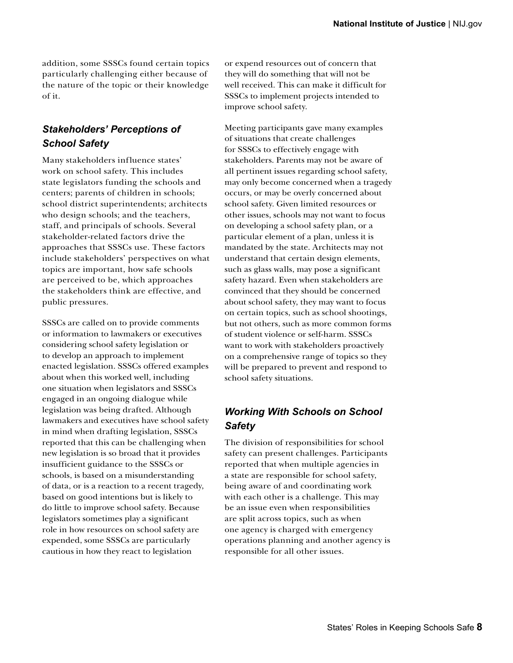addition, some SSSCs found certain topics particularly challenging either because of the nature of the topic or their knowledge of it.

#### *Stakeholders' Perceptions of School Safety*

Many stakeholders influence states' work on school safety. This includes state legislators funding the schools and centers; parents of children in schools; school district superintendents; architects who design schools; and the teachers, staff, and principals of schools. Several stakeholder-related factors drive the approaches that SSSCs use. These factors include stakeholders' perspectives on what topics are important, how safe schools are perceived to be, which approaches the stakeholders think are effective, and public pressures.

SSSCs are called on to provide comments or information to lawmakers or executives considering school safety legislation or to develop an approach to implement enacted legislation. SSSCs offered examples about when this worked well, including one situation when legislators and SSSCs engaged in an ongoing dialogue while legislation was being drafted. Although lawmakers and executives have school safety in mind when drafting legislation, SSSCs reported that this can be challenging when new legislation is so broad that it provides insufficient guidance to the SSSCs or schools, is based on a misunderstanding of data, or is a reaction to a recent tragedy, based on good intentions but is likely to do little to improve school safety. Because legislators sometimes play a significant role in how resources on school safety are expended, some SSSCs are particularly cautious in how they react to legislation

or expend resources out of concern that they will do something that will not be well received. This can make it difficult for SSSCs to implement projects intended to improve school safety.

Meeting participants gave many examples of situations that create challenges for SSSCs to effectively engage with stakeholders. Parents may not be aware of all pertinent issues regarding school safety, may only become concerned when a tragedy occurs, or may be overly concerned about school safety. Given limited resources or other issues, schools may not want to focus on developing a school safety plan, or a particular element of a plan, unless it is mandated by the state. Architects may not understand that certain design elements, such as glass walls, may pose a significant safety hazard. Even when stakeholders are convinced that they should be concerned about school safety, they may want to focus on certain topics, such as school shootings, but not others, such as more common forms of student violence or self-harm. SSSCs want to work with stakeholders proactively on a comprehensive range of topics so they will be prepared to prevent and respond to school safety situations.

#### *Working With Schools on School Safety*

The division of responsibilities for school safety can present challenges. Participants reported that when multiple agencies in a state are responsible for school safety, being aware of and coordinating work with each other is a challenge. This may be an issue even when responsibilities are split across topics, such as when one agency is charged with emergency operations planning and another agency is responsible for all other issues.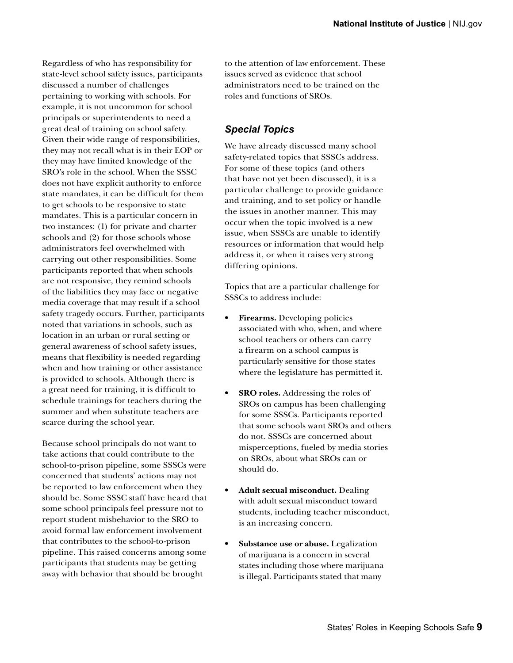Regardless of who has responsibility for state-level school safety issues, participants discussed a number of challenges pertaining to working with schools. For example, it is not uncommon for school principals or superintendents to need a great deal of training on school safety. Given their wide range of responsibilities, they may not recall what is in their EOP or they may have limited knowledge of the SRO's role in the school. When the SSSC does not have explicit authority to enforce state mandates, it can be difficult for them to get schools to be responsive to state mandates. This is a particular concern in two instances: (1) for private and charter schools and (2) for those schools whose administrators feel overwhelmed with carrying out other responsibilities. Some participants reported that when schools are not responsive, they remind schools of the liabilities they may face or negative media coverage that may result if a school safety tragedy occurs. Further, participants noted that variations in schools, such as location in an urban or rural setting or general awareness of school safety issues, means that flexibility is needed regarding when and how training or other assistance is provided to schools. Although there is a great need for training, it is difficult to schedule trainings for teachers during the summer and when substitute teachers are scarce during the school year.

Because school principals do not want to take actions that could contribute to the school-to-prison pipeline, some SSSCs were concerned that students' actions may not be reported to law enforcement when they should be. Some SSSC staff have heard that some school principals feel pressure not to report student misbehavior to the SRO to avoid formal law enforcement involvement that contributes to the school-to-prison pipeline. This raised concerns among some participants that students may be getting away with behavior that should be brought

to the attention of law enforcement. These issues served as evidence that school administrators need to be trained on the roles and functions of SROs.

#### *Special Topics*

We have already discussed many school safety-related topics that SSSCs address. For some of these topics (and others that have not yet been discussed), it is a particular challenge to provide guidance and training, and to set policy or handle the issues in another manner. This may occur when the topic involved is a new issue, when SSSCs are unable to identify resources or information that would help address it, or when it raises very strong differing opinions.

Topics that are a particular challenge for SSSCs to address include:

- **Firearms.** Developing policies associated with who, when, and where school teachers or others can carry a firearm on a school campus is particularly sensitive for those states where the legislature has permitted it.
- **SRO roles.** Addressing the roles of SROs on campus has been challenging for some SSSCs. Participants reported that some schools want SROs and others do not. SSSCs are concerned about misperceptions, fueled by media stories on SROs, about what SROs can or should do.
- **Adult sexual misconduct.** Dealing with adult sexual misconduct toward students, including teacher misconduct, is an increasing concern.
- **Substance use or abuse.** Legalization of marijuana is a concern in several states including those where marijuana is illegal. Participants stated that many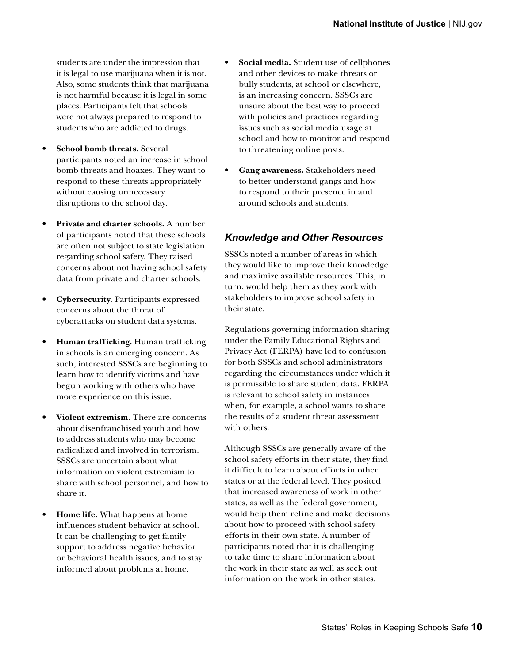students are under the impression that it is legal to use marijuana when it is not. Also, some students think that marijuana is not harmful because it is legal in some places. Participants felt that schools were not always prepared to respond to students who are addicted to drugs.

- **School bomb threats.** Several participants noted an increase in school bomb threats and hoaxes. They want to respond to these threats appropriately without causing unnecessary disruptions to the school day.
- Private and charter schools. A number of participants noted that these schools are often not subject to state legislation regarding school safety. They raised concerns about not having school safety data from private and charter schools.
- **Cybersecurity.** Participants expressed concerns about the threat of cyberattacks on student data systems.
- **Human trafficking.** Human trafficking in schools is an emerging concern. As such, interested SSSCs are beginning to learn how to identify victims and have begun working with others who have more experience on this issue.
- **Violent extremism.** There are concerns about disenfranchised youth and how to address students who may become radicalized and involved in terrorism. SSSCs are uncertain about what information on violent extremism to share with school personnel, and how to share it.
- **Home life.** What happens at home influences student behavior at school. It can be challenging to get family support to address negative behavior or behavioral health issues, and to stay informed about problems at home.
- Social media. Student use of cellphones and other devices to make threats or bully students, at school or elsewhere, is an increasing concern. SSSCs are unsure about the best way to proceed with policies and practices regarding issues such as social media usage at school and how to monitor and respond to threatening online posts.
- Gang awareness. Stakeholders need to better understand gangs and how to respond to their presence in and around schools and students.

#### *Knowledge and Other Resources*

SSSCs noted a number of areas in which they would like to improve their knowledge and maximize available resources. This, in turn, would help them as they work with stakeholders to improve school safety in their state.

Regulations governing information sharing under the Family Educational Rights and Privacy Act (FERPA) have led to confusion for both SSSCs and school administrators regarding the circumstances under which it is permissible to share student data. FERPA is relevant to school safety in instances when, for example, a school wants to share the results of a student threat assessment with others.

Although SSSCs are generally aware of the school safety efforts in their state, they find it difficult to learn about efforts in other states or at the federal level. They posited that increased awareness of work in other states, as well as the federal government, would help them refine and make decisions about how to proceed with school safety efforts in their own state. A number of participants noted that it is challenging to take time to share information about the work in their state as well as seek out information on the work in other states.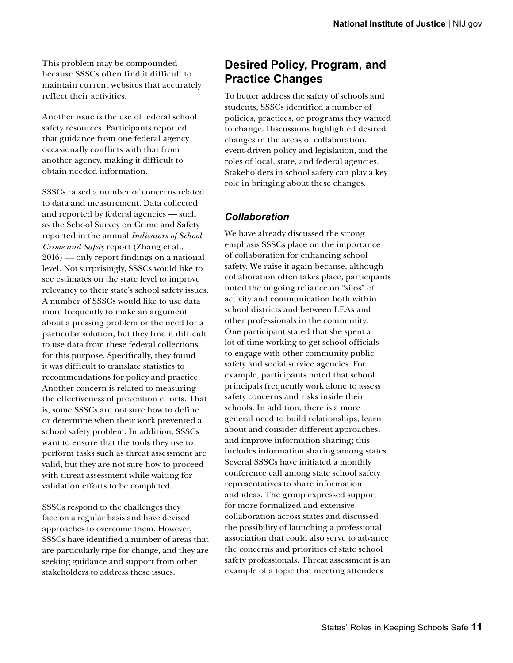This problem may be compounded because SSSCs often find it difficult to maintain current websites that accurately reflect their activities.

Another issue is the use of federal school safety resources. Participants reported that guidance from one federal agency occasionally conflicts with that from another agency, making it difficult to obtain needed information.

SSSCs raised a number of concerns related to data and measurement. Data collected and reported by federal agencies — such as the School Survey on Crime and Safety reported in the annual *Indicators of School Crime and Safety* report (Zhang et al., 2016) — only report findings on a national level. Not surprisingly, SSSCs would like to see estimates on the state level to improve relevancy to their state's school safety issues. A number of SSSCs would like to use data more frequently to make an argument about a pressing problem or the need for a particular solution, but they find it difficult to use data from these federal collections for this purpose. Specifically, they found it was difficult to translate statistics to recommendations for policy and practice. Another concern is related to measuring the effectiveness of prevention efforts. That is, some SSSCs are not sure how to define or determine when their work prevented a school safety problem. In addition, SSSCs want to ensure that the tools they use to perform tasks such as threat assessment are valid, but they are not sure how to proceed with threat assessment while waiting for validation efforts to be completed.

SSSCs respond to the challenges they face on a regular basis and have devised approaches to overcome them. However, SSSCs have identified a number of areas that are particularly ripe for change, and they are seeking guidance and support from other stakeholders to address these issues.

# **Desired Policy, Program, and Practice Changes**

To better address the safety of schools and students, SSSCs identified a number of policies, practices, or programs they wanted to change. Discussions highlighted desired changes in the areas of collaboration, event-driven policy and legislation, and the roles of local, state, and federal agencies. Stakeholders in school safety can play a key role in bringing about these changes.

#### *Collaboration*

We have already discussed the strong emphasis SSSCs place on the importance of collaboration for enhancing school safety. We raise it again because, although collaboration often takes place, participants noted the ongoing reliance on "silos" of activity and communication both within school districts and between LEAs and other professionals in the community. One participant stated that she spent a lot of time working to get school officials to engage with other community public safety and social service agencies. For example, participants noted that school principals frequently work alone to assess safety concerns and risks inside their schools. In addition, there is a more general need to build relationships, learn about and consider different approaches, and improve information sharing; this includes information sharing among states. Several SSSCs have initiated a monthly conference call among state school safety representatives to share information and ideas. The group expressed support for more formalized and extensive collaboration across states and discussed the possibility of launching a professional association that could also serve to advance the concerns and priorities of state school safety professionals. Threat assessment is an example of a topic that meeting attendees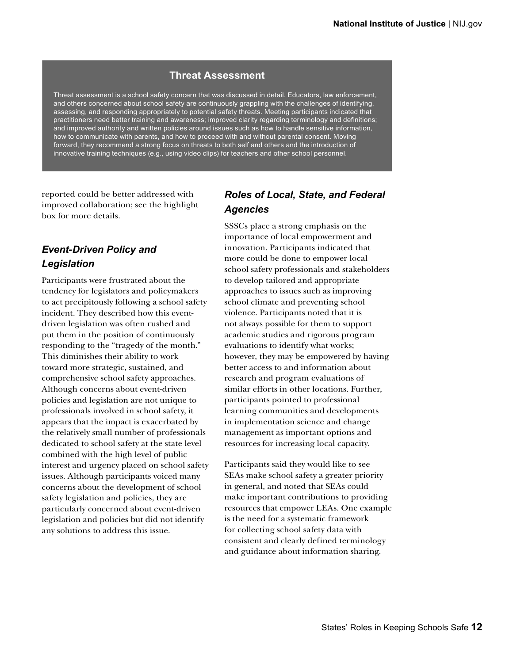#### **Threat Assessment**

Threat assessment is a school safety concern that was discussed in detail. Educators, law enforcement, and others concerned about school safety are continuously grappling with the challenges of identifying, assessing, and responding appropriately to potential safety threats. Meeting participants indicated that practitioners need better training and awareness; improved clarity regarding terminology and definitions; and improved authority and written policies around issues such as how to handle sensitive information, how to communicate with parents, and how to proceed with and without parental consent. Moving forward, they recommend a strong focus on threats to both self and others and the introduction of innovative training techniques (e.g., using video clips) for teachers and other school personnel.

reported could be better addressed with improved collaboration; see the highlight box for more details.

#### *Event-Driven Policy and Legislation*

Participants were frustrated about the tendency for legislators and policymakers to act precipitously following a school safety incident. They described how this eventdriven legislation was often rushed and put them in the position of continuously responding to the "tragedy of the month." This diminishes their ability to work toward more strategic, sustained, and comprehensive school safety approaches. Although concerns about event-driven policies and legislation are not unique to professionals involved in school safety, it appears that the impact is exacerbated by the relatively small number of professionals dedicated to school safety at the state level combined with the high level of public interest and urgency placed on school safety issues. Although participants voiced many concerns about the development of school safety legislation and policies, they are particularly concerned about event-driven legislation and policies but did not identify any solutions to address this issue.

#### *Roles of Local, State, and Federal Agencies*

SSSCs place a strong emphasis on the importance of local empowerment and innovation. Participants indicated that more could be done to empower local school safety professionals and stakeholders to develop tailored and appropriate approaches to issues such as improving school climate and preventing school violence. Participants noted that it is not always possible for them to support academic studies and rigorous program evaluations to identify what works; however, they may be empowered by having better access to and information about research and program evaluations of similar efforts in other locations. Further, participants pointed to professional learning communities and developments in implementation science and change management as important options and resources for increasing local capacity.

Participants said they would like to see SEAs make school safety a greater priority in general, and noted that SEAs could make important contributions to providing resources that empower LEAs. One example is the need for a systematic framework for collecting school safety data with consistent and clearly defined terminology and guidance about information sharing.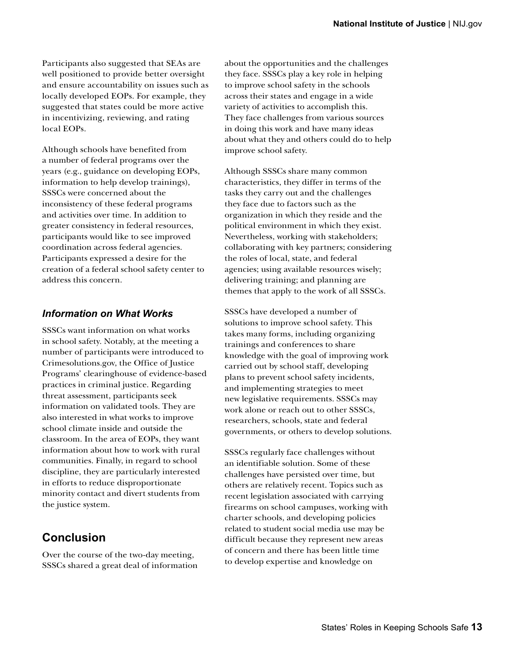Participants also suggested that SEAs are well positioned to provide better oversight and ensure accountability on issues such as locally developed EOPs. For example, they suggested that states could be more active in incentivizing, reviewing, and rating local EOPs.

Although schools have benefited from a number of federal programs over the years (e.g., guidance on developing EOPs, information to help develop trainings), SSSCs were concerned about the inconsistency of these federal programs and activities over time. In addition to greater consistency in federal resources, participants would like to see improved coordination across federal agencies. Participants expressed a desire for the creation of a federal school safety center to address this concern.

#### *Information on What Works*

SSSCs want information on what works in school safety. Notably, at the meeting a number of participants were introduced to Crimesolutions.gov, the Office of Justice Programs' clearinghouse of evidence-based practices in criminal justice. Regarding threat assessment, participants seek information on validated tools. They are also interested in what works to improve school climate inside and outside the classroom. In the area of EOPs, they want information about how to work with rural communities. Finally, in regard to school discipline, they are particularly interested in efforts to reduce disproportionate minority contact and divert students from the justice system.

# **Conclusion**

Over the course of the two-day meeting, SSSCs shared a great deal of information about the opportunities and the challenges they face. SSSCs play a key role in helping to improve school safety in the schools across their states and engage in a wide variety of activities to accomplish this. They face challenges from various sources in doing this work and have many ideas about what they and others could do to help improve school safety.

Although SSSCs share many common characteristics, they differ in terms of the tasks they carry out and the challenges they face due to factors such as the organization in which they reside and the political environment in which they exist. Nevertheless, working with stakeholders; collaborating with key partners; considering the roles of local, state, and federal agencies; using available resources wisely; delivering training; and planning are themes that apply to the work of all SSSCs.

SSSCs have developed a number of solutions to improve school safety. This takes many forms, including organizing trainings and conferences to share knowledge with the goal of improving work carried out by school staff, developing plans to prevent school safety incidents, and implementing strategies to meet new legislative requirements. SSSCs may work alone or reach out to other SSSCs, researchers, schools, state and federal governments, or others to develop solutions.

SSSCs regularly face challenges without an identifiable solution. Some of these challenges have persisted over time, but others are relatively recent. Topics such as recent legislation associated with carrying firearms on school campuses, working with charter schools, and developing policies related to student social media use may be difficult because they represent new areas of concern and there has been little time to develop expertise and knowledge on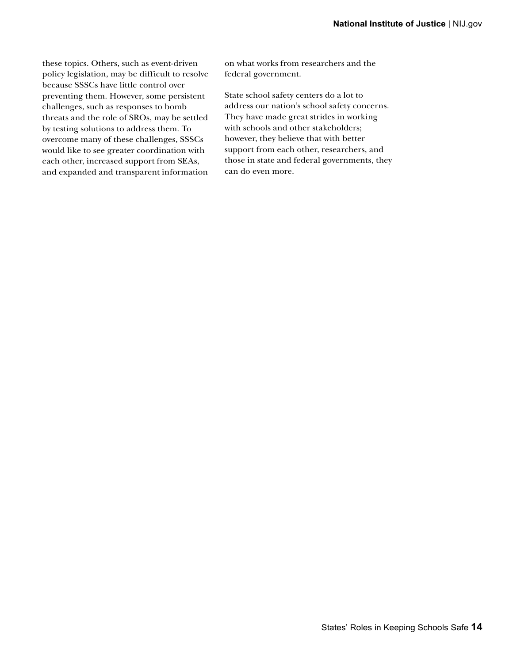these topics. Others, such as event-driven policy legislation, may be difficult to resolve because SSSCs have little control over preventing them. However, some persistent challenges, such as responses to bomb threats and the role of SROs, may be settled by testing solutions to address them. To overcome many of these challenges, SSSCs would like to see greater coordination with each other, increased support from SEAs, and expanded and transparent information

on what works from researchers and the federal government.

State school safety centers do a lot to address our nation's school safety concerns. They have made great strides in working with schools and other stakeholders; however, they believe that with better support from each other, researchers, and those in state and federal governments, they can do even more.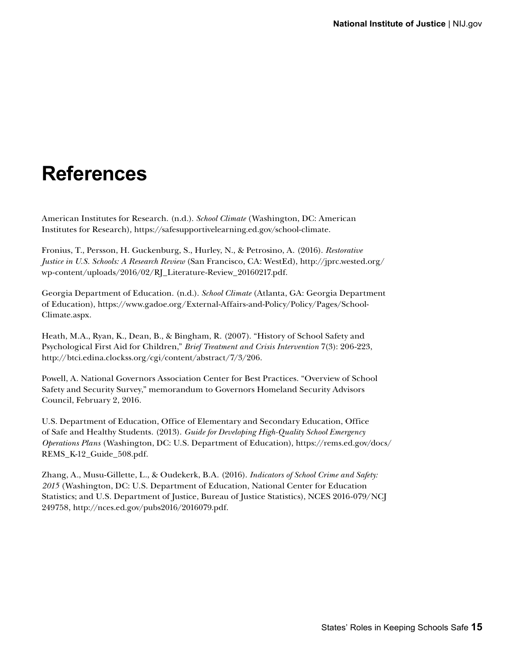# **References**

American Institutes for Research. (n.d.). *School Climate* (Washington, DC: American Institutes for Research)*,* <https://safesupportivelearning.ed.gov/school-climate>.

Fronius, T., Persson, H. Guckenburg, S., Hurley, N., & Petrosino, A. (2016). *Restorative Justice in U.S. Schools: A Research Review* (San Francisco, CA: WestEd), [http://jprc.wested.org/](http://jprc.wested.org/wp-content/uploads/2016/02/RJ_Literature-Review_20160217.pdf)  [wp-content/uploads/2016/02/RJ\\_Literature-Review\\_20160217.pdf.](http://jprc.wested.org/wp-content/uploads/2016/02/RJ_Literature-Review_20160217.pdf)

Georgia Department of Education. (n.d.). *School Climate* (Atlanta, GA: Georgia Department of Education), [https://www.gadoe.org/External-Affairs-and-Policy/Policy/Pages/School-](https://www.gadoe.org/External-Affairs-and-Policy/Policy/Pages/School-Climate.aspx)[Climate.aspx.](https://www.gadoe.org/External-Affairs-and-Policy/Policy/Pages/School-Climate.aspx)

Heath, M.A., Ryan, K., Dean, B., & Bingham, R. (2007). "History of School Safety and Psychological First Aid for Children," *Brief Treatment and Crisis Intervention* 7(3): 206-223, [http://btci.edina.clockss.org/cgi/content/abstract/7/3/206.](http://btci.edina.clockss.org/cgi/content/abstract/7/3/206)

Powell, A. National Governors Association Center for Best Practices. "Overview of School Safety and Security Survey," memorandum to Governors Homeland Security Advisors Council, February 2, 2016.

U.S. Department of Education, Office of Elementary and Secondary Education, Office of Safe and Healthy Students. (2013). *Guide for Developing High-Quality School Emergency Operations Plans* (Washington, DC: U.S. Department of Education), [https://rems.ed.gov/docs/](https://rems.ed.gov/docs/REMS_K-12_Guide_508.pdf)  [REMS\\_K-12\\_Guide\\_508.pdf](https://rems.ed.gov/docs/REMS_K-12_Guide_508.pdf).

Zhang, A., Musu-Gillette, L., & Oudekerk, B.A. (2016). *Indicators of School Crime and Safety: 2015* (Washington, DC: U.S. Department of Education, National Center for Education Statistics; and U.S. Department of Justice, Bureau of Justice Statistics), NCES 2016-079/NCJ 249758, <http://nces.ed.gov/pubs2016/2016079.pdf>.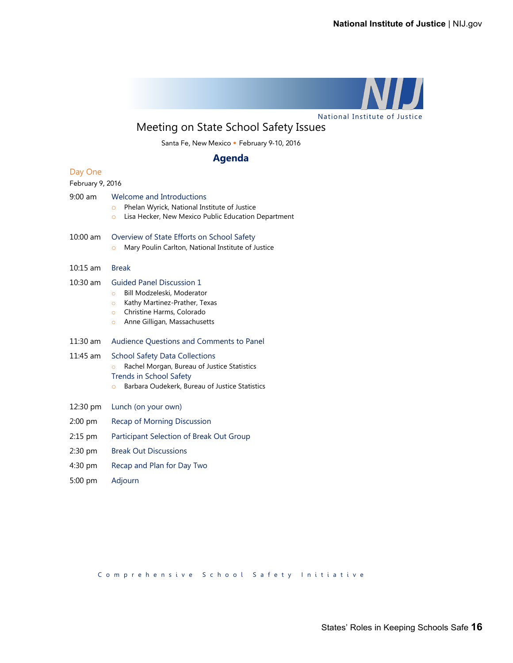

#### National Institute of Justice

## Meeting on State School Safety Issues

Santa Fe, New Mexico • February 9-10, 2016

#### **Agenda**

| Day One          |                                                                                                                                                                                              |
|------------------|----------------------------------------------------------------------------------------------------------------------------------------------------------------------------------------------|
| February 9, 2016 |                                                                                                                                                                                              |
| $9:00$ am        | Welcome and Introductions<br>Phelan Wyrick, National Institute of Justice<br>$\Omega$<br>Lisa Hecker, New Mexico Public Education Department<br>Ō                                            |
| $10:00$ am       | Overview of State Efforts on School Safety<br>Mary Poulin Carlton, National Institute of Justice<br>$\circ$                                                                                  |
| $10:15$ am       | <b>Break</b>                                                                                                                                                                                 |
| $10:30$ am       | <b>Guided Panel Discussion 1</b><br>Bill Modzeleski, Moderator<br>$\circ$<br>Kathy Martinez-Prather, Texas<br>$\circ$<br>Christine Harms, Colorado<br>Ō<br>Anne Gilligan, Massachusetts<br>Ō |
| $11:30$ am       | Audience Questions and Comments to Panel                                                                                                                                                     |
| $11:45$ am       | <b>School Safety Data Collections</b><br>Rachel Morgan, Bureau of Justice Statistics<br><b>Trends in School Safety</b><br>Barbara Oudekerk, Bureau of Justice Statistics<br>$\circ$          |
| 12:30 pm         | Lunch (on your own)                                                                                                                                                                          |
| 2:00 pm          | Recap of Morning Discussion                                                                                                                                                                  |
| $2:15$ pm        | Participant Selection of Break Out Group                                                                                                                                                     |
| $2:30$ pm        | <b>Break Out Discussions</b>                                                                                                                                                                 |
| $4:30$ pm        | Recap and Plan for Day Two                                                                                                                                                                   |

#### 5:00 pm Adjourn

Comprehensive School Safety Initiative